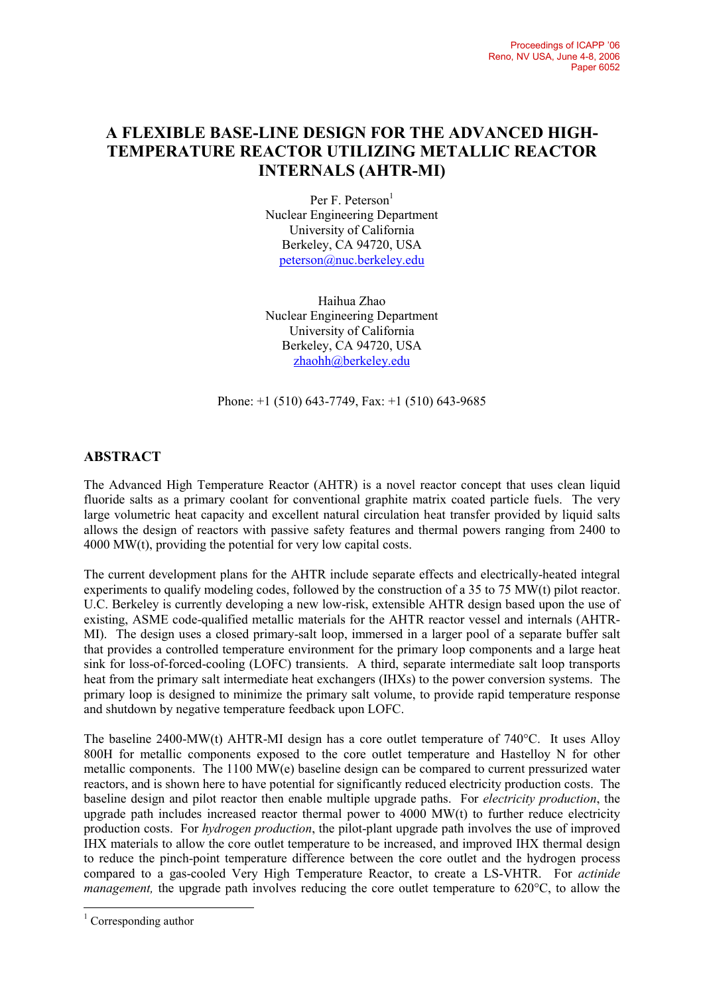## **A FLEXIBLE BASE-LINE DESIGN FOR THE ADVANCED HIGH-TEMPERATURE REACTOR UTILIZING METALLIC REACTOR INTERNALS (AHTR-MI)**

Per F. Peterson<sup>1</sup> Nuclear Engineering Department University of California Berkeley, CA 94720, USA peterson@nuc.berkeley.edu

Haihua Zhao Nuclear Engineering Department University of California Berkeley, CA 94720, USA zhaohh@berkeley.edu

Phone: +1 (510) 643-7749, Fax: +1 (510) 643-9685

## **ABSTRACT**

The Advanced High Temperature Reactor (AHTR) is a novel reactor concept that uses clean liquid fluoride salts as a primary coolant for conventional graphite matrix coated particle fuels. The very large volumetric heat capacity and excellent natural circulation heat transfer provided by liquid salts allows the design of reactors with passive safety features and thermal powers ranging from 2400 to 4000 MW(t), providing the potential for very low capital costs.

The current development plans for the AHTR include separate effects and electrically-heated integral experiments to qualify modeling codes, followed by the construction of a 35 to 75 MW(t) pilot reactor. U.C. Berkeley is currently developing a new low-risk, extensible AHTR design based upon the use of existing, ASME code-qualified metallic materials for the AHTR reactor vessel and internals (AHTR-MI). The design uses a closed primary-salt loop, immersed in a larger pool of a separate buffer salt that provides a controlled temperature environment for the primary loop components and a large heat sink for loss-of-forced-cooling (LOFC) transients. A third, separate intermediate salt loop transports heat from the primary salt intermediate heat exchangers (IHXs) to the power conversion systems. The primary loop is designed to minimize the primary salt volume, to provide rapid temperature response and shutdown by negative temperature feedback upon LOFC.

The baseline 2400-MW(t) AHTR-MI design has a core outlet temperature of 740°C. It uses Alloy 800H for metallic components exposed to the core outlet temperature and Hastelloy N for other metallic components. The 1100 MW(e) baseline design can be compared to current pressurized water reactors, and is shown here to have potential for significantly reduced electricity production costs. The baseline design and pilot reactor then enable multiple upgrade paths. For *electricity production*, the upgrade path includes increased reactor thermal power to 4000 MW(t) to further reduce electricity production costs. For *hydrogen production*, the pilot-plant upgrade path involves the use of improved IHX materials to allow the core outlet temperature to be increased, and improved IHX thermal design to reduce the pinch-point temperature difference between the core outlet and the hydrogen process compared to a gas-cooled Very High Temperature Reactor, to create a LS-VHTR. For *actinide management,* the upgrade path involves reducing the core outlet temperature to 620°C, to allow the

 $\overline{a}$ 

<sup>&</sup>lt;sup>1</sup> Corresponding author